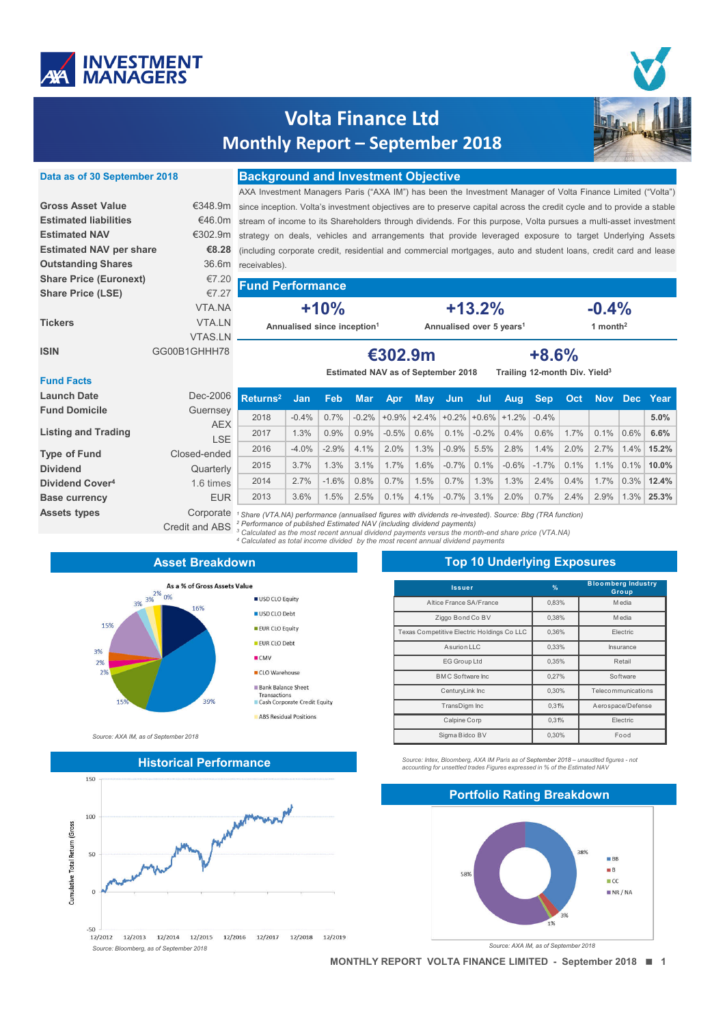

# **Volta Finance Ltd Monthly Report – September 2018**

| Data as of 30 September 2018   | <b>Background and Investment Objective</b>                                                                                                                                                                                                                                                                                                                  |                                                                                                                  |                                                                                                                        |        |            |     |                      |     |          |      |            |     |         |            |      |
|--------------------------------|-------------------------------------------------------------------------------------------------------------------------------------------------------------------------------------------------------------------------------------------------------------------------------------------------------------------------------------------------------------|------------------------------------------------------------------------------------------------------------------|------------------------------------------------------------------------------------------------------------------------|--------|------------|-----|----------------------|-----|----------|------|------------|-----|---------|------------|------|
|                                |                                                                                                                                                                                                                                                                                                                                                             | AXA Investment Managers Paris ("AXA IM") has been the Investment Manager of Volta Finance Limited ("Volta")      |                                                                                                                        |        |            |     |                      |     |          |      |            |     |         |            |      |
| <b>Gross Asset Value</b>       | €348.9m                                                                                                                                                                                                                                                                                                                                                     |                                                                                                                  | since inception. Volta's investment objectives are to preserve capital across the credit cycle and to provide a stable |        |            |     |                      |     |          |      |            |     |         |            |      |
| <b>Estimated liabilities</b>   | €46.0m                                                                                                                                                                                                                                                                                                                                                      |                                                                                                                  | stream of income to its Shareholders through dividends. For this purpose, Volta pursues a multi-asset investment       |        |            |     |                      |     |          |      |            |     |         |            |      |
| <b>Estimated NAV</b>           |                                                                                                                                                                                                                                                                                                                                                             | €302.9m strategy on deals, vehicles and arrangements that provide leveraged exposure to target Underlying Assets |                                                                                                                        |        |            |     |                      |     |          |      |            |     |         |            |      |
| <b>Estimated NAV per share</b> | €8.28<br>(including corporate credit, residential and commercial mortgages, auto and student loans, credit card and lease                                                                                                                                                                                                                                   |                                                                                                                  |                                                                                                                        |        |            |     |                      |     |          |      |            |     |         |            |      |
| <b>Outstanding Shares</b>      |                                                                                                                                                                                                                                                                                                                                                             | 36.6m receivables).                                                                                              |                                                                                                                        |        |            |     |                      |     |          |      |            |     |         |            |      |
| <b>Share Price (Euronext)</b>  | €7.20                                                                                                                                                                                                                                                                                                                                                       | <b>Fund Performance</b>                                                                                          |                                                                                                                        |        |            |     |                      |     |          |      |            |     |         |            |      |
| <b>Share Price (LSE)</b>       | €7.27                                                                                                                                                                                                                                                                                                                                                       |                                                                                                                  |                                                                                                                        |        |            |     |                      |     |          |      |            |     |         |            |      |
|                                | VTA.NA                                                                                                                                                                                                                                                                                                                                                      |                                                                                                                  |                                                                                                                        | $+10%$ |            |     |                      |     | $+13.2%$ |      |            |     | $-0.4%$ |            |      |
| <b>Tickers</b>                 | VTA.LN                                                                                                                                                                                                                                                                                                                                                      |                                                                                                                  | Annualised over 5 years <sup>1</sup><br>Annualised since inception <sup>1</sup>                                        |        |            |     | 1 month <sup>2</sup> |     |          |      |            |     |         |            |      |
|                                | <b>VTAS.LN</b>                                                                                                                                                                                                                                                                                                                                              |                                                                                                                  |                                                                                                                        |        |            |     |                      |     |          |      |            |     |         |            |      |
| <b>ISIN</b>                    | GG00B1GHHH78                                                                                                                                                                                                                                                                                                                                                | $+8.6%$<br>€302.9m                                                                                               |                                                                                                                        |        |            |     |                      |     |          |      |            |     |         |            |      |
|                                |                                                                                                                                                                                                                                                                                                                                                             | Trailing 12-month Div. Yield <sup>3</sup><br>Estimated NAV as of September 2018                                  |                                                                                                                        |        |            |     |                      |     |          |      |            |     |         |            |      |
| <b>Fund Facts</b>              |                                                                                                                                                                                                                                                                                                                                                             |                                                                                                                  |                                                                                                                        |        |            |     |                      |     |          |      |            |     |         |            |      |
| <b>Launch Date</b>             | Dec-2006                                                                                                                                                                                                                                                                                                                                                    | Retrums <sup>2</sup>                                                                                             | Jan                                                                                                                    | Feb    | <b>Mar</b> | Apr | <b>May</b>           | Jun | Jul      | Aug, | <b>Sep</b> | Oct | Nov     | <b>Dec</b> | Year |
| Ernald Banatalla               | $\bigcap_{x,y}$ $\bigcap_{x}$ $\bigcap_{y}$ $\bigcap_{y}$ $\bigcap_{y}$ $\bigcap_{y}$ $\bigcap_{y}$ $\bigcap_{y}$ $\bigcap_{y}$ $\bigcap_{y}$ $\bigcap_{y}$ $\bigcap_{y}$ $\bigcap_{y}$ $\bigcap_{y}$ $\bigcap_{y}$ $\bigcap_{y}$ $\bigcap_{y}$ $\bigcap_{y}$ $\bigcap_{y}$ $\bigcap_{y}$ $\bigcap_{y}$ $\bigcap_{y}$ $\bigcap_{y}$ $\bigcap_{y}$ $\bigcap$ |                                                                                                                  |                                                                                                                        |        |            |     |                      |     |          |      |            |     |         |            |      |

| ∟auncn <b>⊃a</b> τe         | Dec-2006                                                                                         | Returns <sup>2</sup>                                                                                   | Jan      | Feb      | <b>Mar</b> | <b>Apr</b> | <b>May</b>                             | <b>Jun</b> | <b>Jul</b> | Aug     | <b>Sep</b> | Oct <b>O</b> |      | Nov Dec Year  |            |
|-----------------------------|--------------------------------------------------------------------------------------------------|--------------------------------------------------------------------------------------------------------|----------|----------|------------|------------|----------------------------------------|------------|------------|---------|------------|--------------|------|---------------|------------|
| <b>Fund Domicile</b>        | Guernsey                                                                                         |                                                                                                        |          |          |            |            |                                        |            |            |         |            |              |      |               |            |
|                             | <b>AEX</b>                                                                                       | 2018                                                                                                   | $-0.4%$  | $0.7\%$  | $-0.2\%$   |            | $+0.9\%$ +2.4% +0.2% +0.6% +1.2% -0.4% |            |            |         |            |              |      |               | 5.0%       |
| <b>Listing and Trading</b>  | LSE.                                                                                             | 2017                                                                                                   | 1.3%     | 0.9%     | 0.9%       | $-0.5%$    | 0.6%                                   | 0.1%       | $-0.2%$    | $0.4\%$ | 0.6%       | 1.7%         | 0.1% | $ 0.6\% $     | 6.6%       |
| <b>Type of Fund</b>         | Closed-ended                                                                                     | 2016                                                                                                   | $-4.0\%$ | $-2.9\%$ | 4.1%       | 2.0%       | 1.3%                                   | $-0.9\%$   | 5.5%       | 2.8%    | 1.4%       | 2.0%         | 2.7% |               | 1.4% 15.2% |
| <b>Dividend</b>             | Quarterly                                                                                        | 2015                                                                                                   | 3.7%     | 1.3%     | 3.1%       | 1.7%       | 1.6%                                   | $-0.7\%$   | 0.1%       | $-0.6%$ | $-1.7\%$   | 0.1%         | 1.1% | $0.1\%$ 10.0% |            |
| Dividend Cover <sup>4</sup> | 1.6 times                                                                                        | 2014                                                                                                   | 2.7%     | $-1.6%$  | 0.8%       | 0.7%       | 1.5%                                   | 0.7%       | 1.3%       | 1.3%    | 2.4%       | 0.4%         | 1.7% | $0.3\%$ 12.4% |            |
| <b>Base currency</b>        | <b>EUR</b>                                                                                       | 2013                                                                                                   | 3.6%     | 1.5%     | 2.5%       | 0.1%       | 4.1%                                   | $-0.7\%$   | 3.1%       | 2.0%    | 0.7%       | 2.4%         | 2.9% | 1.3%          | 25.3%      |
| <b>Assets types</b>         | Corporate                                                                                        | Share (VTA.NA) performance (annualised figures with dividends re-invested). Source: Bbg (TRA function) |          |          |            |            |                                        |            |            |         |            |              |      |               |            |
|                             | Credit and ABS <sup>2</sup> Performance of published Estimated NAV (including dividend payments) | 3. Coloulated as the meet researt annual dividend normante versue the menth and chara price (VTA NA)   |          |          |            |            |                                        |            |            |         |            |              |      |               |            |

<sup>1</sup> Share (VTA.NA) performance (annualised figures with dividends re-invested). Source: Bbg (TRA function)<br><sup>2</sup> Performance of published Estimated NAV (including dividend payments)<br><sup>3</sup> Calculated as the most recent annual d

### **Asset Breakdown**



*Source: AXA IM, as of September 2018*



## **Top 10 Underlying Exposures**

| <b>Issuer</b>                              | $\frac{9}{6}$ | <b>Bloomberg Industry</b><br>Group |  |  |  |
|--------------------------------------------|---------------|------------------------------------|--|--|--|
| Altice France SA/France                    | 0.83%         | M edia                             |  |  |  |
| Ziggo Bond Co BV                           | 0.38%         | M edia                             |  |  |  |
| Texas Competitive Electric Holdings Co LLC | 0.36%         | Electric                           |  |  |  |
| A surion LLC                               | 0,33%         | Insurance                          |  |  |  |
| <b>EG Group Ltd</b>                        | 0.35%         | Retail                             |  |  |  |
| <b>BMC Software Inc.</b>                   | 0.27%         | Software                           |  |  |  |
| CenturyLink Inc                            | 0.30%         | Telecommunications                 |  |  |  |
| TransDigm Inc                              | 0.31%         | Aerospace/Defense                  |  |  |  |
| Calpine Corp                               | 0,31%         | Electric                           |  |  |  |
| Sigma Bidco BV                             | 0,30%         | Food                               |  |  |  |

*Source: Intex, Bloomberg, AXA IM Paris as of September 2018 – unaudited figures - not accounting for unsettled trades Figures expressed in % of the Estimated NAV*



*Source: AXA IM, as of September 2018*

**MONTHLY REPORT VOLTA FINANCE LIMITED - September 2018 1**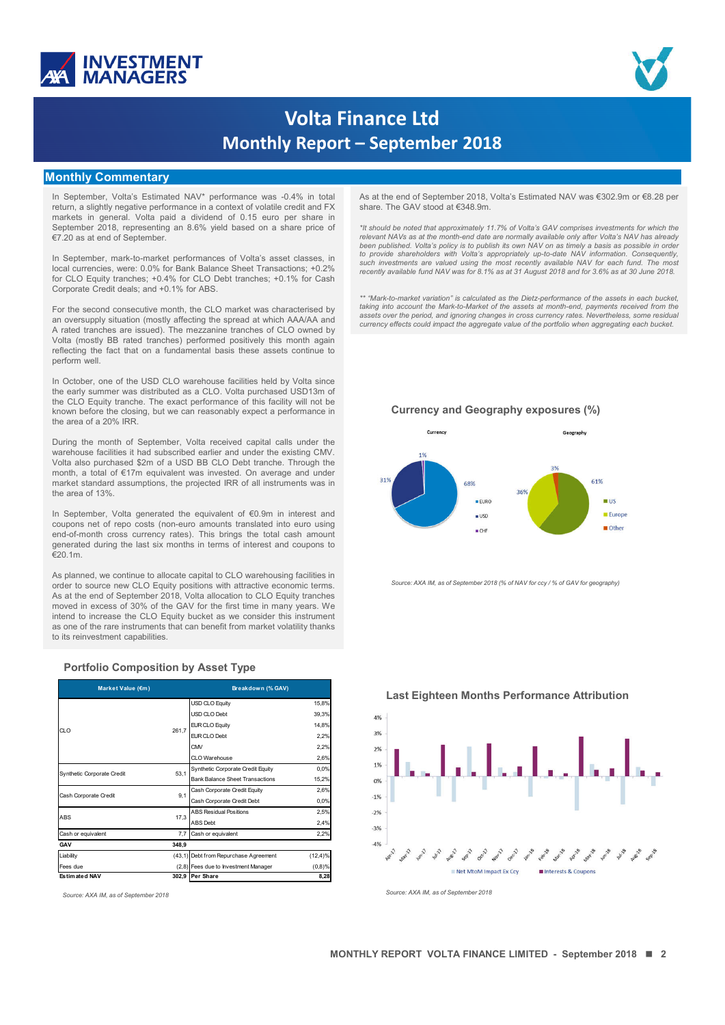



# **Volta Finance Ltd Monthly Report – September 2018**

#### **Monthly Commentary**

In September, Volta's Estimated NAV\* performance was -0.4% in total return, a slightly negative performance in a context of volatile credit and FX markets in general. Volta paid a dividend of 0.15 euro per share in September 2018, representing an 8.6% yield based on a share price of €7.20 as at end of September.

In September, mark-to-market performances of Volta's asset classes, in local currencies, were: 0.0% for Bank Balance Sheet Transactions; +0.2% for CLO Equity tranches; +0.4% for CLO Debt tranches; +0.1% for Cash Corporate Credit deals; and +0.1% for ABS.

For the second consecutive month, the CLO market was characterised by an oversupply situation (mostly affecting the spread at which AAA/AA and A rated tranches are issued). The mezzanine tranches of CLO owned by Volta (mostly BB rated tranches) performed positively this month again reflecting the fact that on a fundamental basis these assets continue to perform well.

In October, one of the USD CLO warehouse facilities held by Volta since the early summer was distributed as a CLO. Volta purchased USD13m of the CLO Equity tranche. The exact performance of this facility will not be known before the closing, but we can reasonably expect a performance in the area of a 20% IRR.

During the month of September, Volta received capital calls under the warehouse facilities it had subscribed earlier and under the existing CMV. Volta also purchased \$2m of a USD BB CLO Debt tranche. Through the month, a total of €17m equivalent was invested. On average and under market standard assumptions, the projected IRR of all instruments was in the area of 13%.

In September, Volta generated the equivalent of €0.9m in interest and coupons net of repo costs (non-euro amounts translated into euro using end-of-month cross currency rates). This brings the total cash amount generated during the last six months in terms of interest and coupons to €20.1m.

As planned, we continue to allocate capital to CLO warehousing facilities in order to source new CLO Equity positions with attractive economic terms. As at the end of September 2018, Volta allocation to CLO Equity tranches moved in excess of 30% of the GAV for the first time in many years. We intend to increase the CLO Equity bucket as we consider this instrument as one of the rare instruments that can benefit from market volatility thanks to its reinvestment capabilities.

| Market Value (€m)          |        | Breakdown (% GAV)                      |             |  |  |  |  |
|----------------------------|--------|----------------------------------------|-------------|--|--|--|--|
|                            |        | <b>USD CLO Equity</b>                  | 15,8%       |  |  |  |  |
|                            |        | USD CLO Debt                           | 39,3%       |  |  |  |  |
| $Q_1$                      | 261.7  | <b>EUR CLO Equity</b>                  | 14,8%       |  |  |  |  |
|                            |        | FUR CLO Debt                           | 2,2%        |  |  |  |  |
|                            |        | <b>CMV</b>                             | 2,2%        |  |  |  |  |
|                            |        | CLO Warehouse                          | 2,6%        |  |  |  |  |
| Synthetic Corporate Credit | 53.1   | Synthetic Corporate Credit Equity      | 0,0%        |  |  |  |  |
|                            |        | <b>Bank Balance Sheet Transactions</b> | 15,2%       |  |  |  |  |
| Cash Corporate Credit      | 9.1    | Cash Corporate Credit Equity           | 2,6%        |  |  |  |  |
|                            |        | Cash Corporate Credit Debt             | 0,0%        |  |  |  |  |
| <b>ABS</b>                 | 17,3   | <b>ABS Residual Positions</b>          | 2,5%        |  |  |  |  |
|                            |        | <b>ABS</b> Debt                        | 2,4%        |  |  |  |  |
| Cash or equivalent         | 7,7    | Cash or equivalent                     | 2,2%        |  |  |  |  |
| GAV                        | 348,9  |                                        |             |  |  |  |  |
| Liability                  | (43,1) | Debt from Repurchase Agreement         | $(12, 4)$ % |  |  |  |  |
| Fees due                   |        | (2,8) Fees due to Investment Manager   | (0,8)%      |  |  |  |  |
| <b>Estimated NAV</b>       |        | 302,9 Per Share                        | 8,28        |  |  |  |  |

**Portfolio Composition by Asset Type**

As at the end of September 2018, Volta's Estimated NAV was €302.9m or €8.28 per share. The GAV stood at €348.9m.

\*It should be noted that approximately 11.7% of Volta's GAV comprises investments for which the<br>relevant NAVs as at the month-end date are normally available only after Volta's NAV has already been published. Volta's policy is to publish its own NAV on as timely a basis as possible in order<br>to provide shareholders with Volta's appropriately up-to-date NAV information. Consequently,<br>such investments are valued us recently available fund NAV was for 8.1% as at 31 August 2018 and for 3.6% as at 30 June 2018.

*\*\* "Mark-to-market variation" is calculated as the Dietz-performance of the assets in each bucket, taking into account the Mark-to-Market of the assets at month-end, payments received from the* assets over the period, and ignoring changes in cross currency rates. Nevertheless, some residua<br>currency effects could impact the aggregate value of the portfolio when aggregating each bucket.

**Currency and Geography exposures (%)**



*Source: AXA IM, as of September 2018 (% of NAV for ccy / % of GAV for geography)* 



**Last Eighteen Months Performance Attribution**

*Source: AXA IM, as of September 2018 Source: AXA IM, as of September 2018*